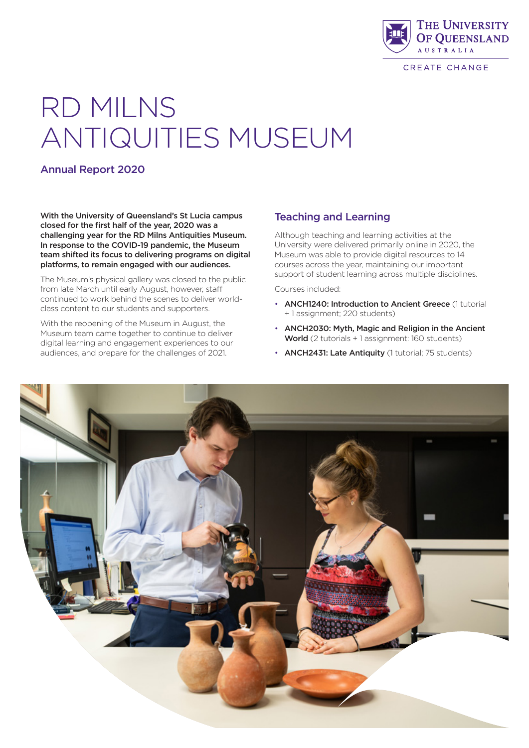

CREATE CHANGE

# RD MILNS ANTIQUITIES MUSEUM

## Annual Report 2020

With the University of Queensland's St Lucia campus closed for the first half of the year, 2020 was a challenging year for the RD Milns Antiquities Museum. In response to the COVID-19 pandemic, the Museum team shifted its focus to delivering programs on digital platforms, to remain engaged with our audiences.

The Museum's physical gallery was closed to the public from late March until early August, however, staff continued to work behind the scenes to deliver worldclass content to our students and supporters.

With the reopening of the Museum in August, the Museum team came together to continue to deliver digital learning and engagement experiences to our audiences, and prepare for the challenges of 2021.

## Teaching and Learning

Although teaching and learning activities at the University were delivered primarily online in 2020, the Museum was able to provide digital resources to 14 courses across the year, maintaining our important support of student learning across multiple disciplines.

Courses included:

- ANCH1240: Introduction to Ancient Greece (1 tutorial + 1 assignment; 220 students)
- ANCH2030: Myth, Magic and Religion in the Ancient World (2 tutorials + 1 assignment: 160 students)
- ANCH2431: Late Antiquity (1 tutorial; 75 students)